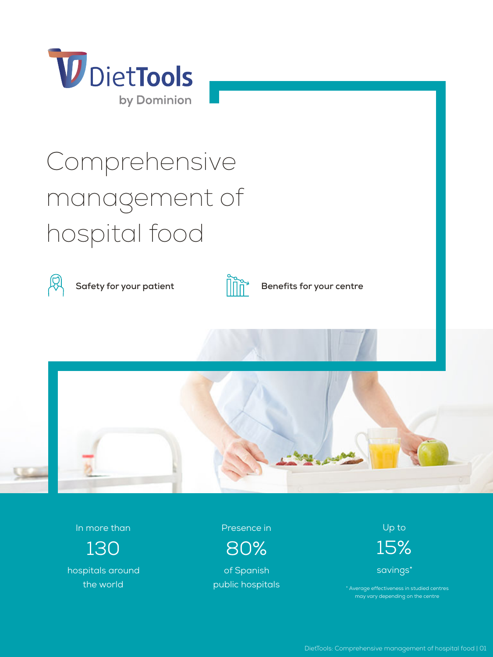

# Comprehensive management of hospital food



**Safety for your patient**  $\begin{bmatrix} 1 & 0 \\ 1 & 1 \end{bmatrix}$  **Benefits for your centre** 





In more than

130 hospitals around the world

Presence in

80%

of Spanish public hospitals Up to

15% savings\*

\* Average effectiveness in studied centres may vary depending on the centre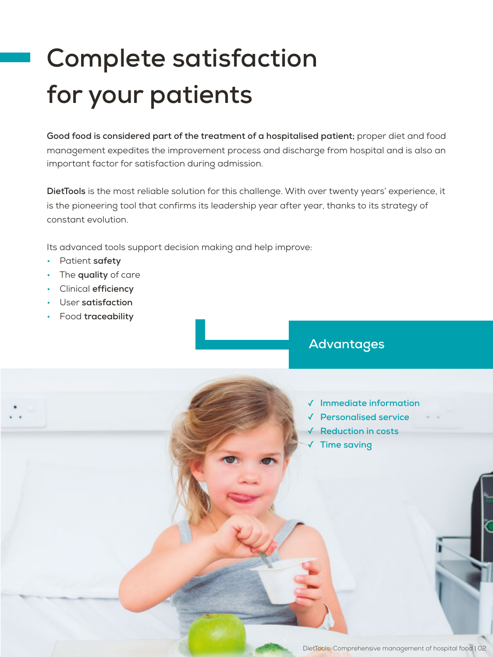## **Complete satisfaction for your patients**

**Good food is considered part of the treatment of a hospitalised patient;** proper diet and food management expedites the improvement process and discharge from hospital and is also an important factor for satisfaction during admission.

**DietTools** is the most reliable solution for this challenge. With over twenty years' experience, it is the pioneering tool that confirms its leadership year after year, thanks to its strategy of constant evolution.

Its advanced tools support decision making and help improve:

- Patient **safety**
- The **quality** of care
- Clinical **efficiency**
- User **satisfaction**
- Food **traceability**

### **Advantages**

- ✓ **Immediate information**
- ✓ **Personalised service**
- ✓ **Reduction in costs** 
	- **Time saving**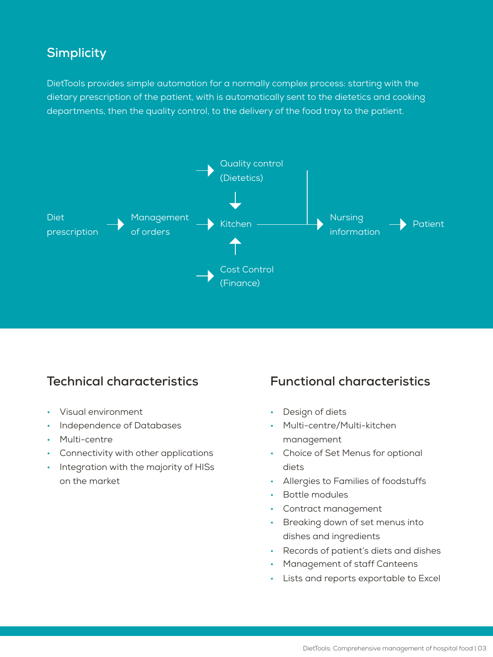#### **Simplicity**

DietTools provides simple automation for a normally complex process: starting with the dietary prescription of the patient, with is automatically sent to the dietetics and cooking departments, then the quality control, to the delivery of the food tray to the patient.



#### **Technical characteristics**

- Visual environment
- Independence of Databases
- Multi-centre
- Connectivity with other applications
- Integration with the majority of HISs on the market

#### **Functional characteristics**

- Design of diets
- Multi-centre/Multi-kitchen management
- Choice of Set Menus for optional diets
- Allergies to Families of foodstuffs
- Bottle modules
- Contract management
- Breaking down of set menus into dishes and ingredients
- Records of patient's diets and dishes
- Management of staff Canteens
- Lists and reports exportable to Excel